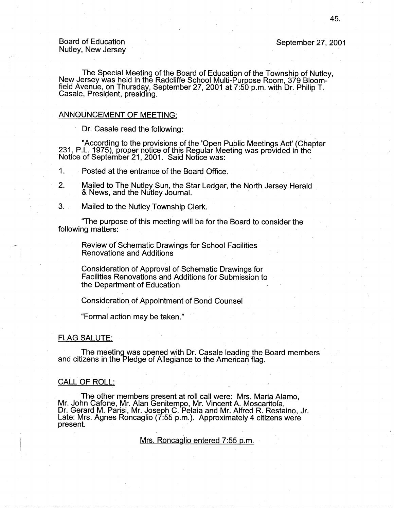Board of Education Nutley, New Jersey September 27, 2001

The Special Meeting of the Board of Education of the Township of Nutley,<br>New Jersey was held in the Radcliffe School Multi-Purpose Room, 379 Bloomfield Avenue, on Thursday, September 27, 2001 at 7:50 p.m. with Dr: Philip T. Casale, President, presiding.

## ANNOUNCEMENT OF MEETING:

Dr. Casale read the following:

"According to the provisions of the 'Open Public Meetings Act' (Chapter 231, P.L. 1975), proper notice of this Regular Meeting was provided in the Notice of September 21, 2001. Said Notice was:

1. Posted at the entrance of the Board Office.

- 2. Mailed to The Nutley Sun, the Star Ledger, the North Jersey Herald & News, and the Nutley Journal.
- 3. . Mailed to the Nutley Township Clerk.

"The purpose of this meeting will be for the Board to consider the following matters:

Review of Schematic Drawings for School Facilities Renovations and Additions

Consideration of Approval of Schematic Drawings for Facilities Renovations and Additions for Submission to the Department of Education

Consideration of Appointment of Bond Counsel

"Formal action may be taken."

# FLAG SALUTE:

The meeting was opened with Dr: Casale leading the Board members and citizens in the Pledge of Allegiance to the American flag.

# CALL OF ROLL:

The other members present at roll call were: Mrs. Maria Alamo, Mr. John Cafone, Mr. Alan Genitempo, Mr. Vincent A. Moscaritola, Dr. Gerard M. Parisi, Mr. Joseph C. Palaia and Mr. Alfred R. Restaino, Jr. Late: Mrs. Agnes Roncaglio (7:55 p.m.). Approximately 4 citizens were  $\blacksquare$ present.  $\blacksquare$ 

Mrs. Roncaglio entered 7:55 p.m.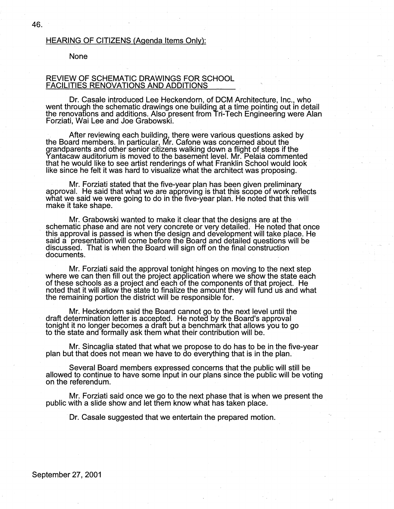# HEARING OF CITIZENS (Agenda Items Only):

#### None

# REVIEW OF SCHEMATIC DRAWINGS FOR SCHOOL FACILITIES RENOVATIONS AND ADDITIONS

Dr. Casale introduced Lee Heckendorn, of DCM Architecture, Inc., who went through the schematic drawings one building at a time pointing out in detail the renovations and additions. Also present from Tri-Tech Engineering were Alan Forziati, Wai Lee and Joe Grabowski.

. After reviewing each building, there were various questions asked by the Board members. In particular, Mr. Cafone was concerned about the grandparents and other senior citizens walking down a flight of steps if the Yantacaw auditorium is moved to the basement level. Mr. Pelaia commented that he would like to see artist renderings of what Franklin School would look like since he felt it was hard to visualize what the architect was proposing.

Mr. Forziati stated that the five-year plan has been given preliminary approval. He said that what we are approving is that this scope of work reflects what we said we were going to do in the five-year plan. He noted that this will make it take shape.

Mr. Grabowski wanted to make it clear that the designs are at the schematic phase and are not very concrete or very detailed. He noted that once this approval is passed is when the design and development will take place. He said a presentation will come before the Board and detailed questions will be discussed. That is when the Board will sign off on the final construction documents. The contract of the contract of the contract of the contract of the contract of the contract of the

· Mr. Forziati said the approval tonight hinges on moving to the next step where we can then fill out the project application where we show the state each of these schools as a project and each of the components of that project. He noted that it will allow the state to finalize the amount they will fund us and what the remaining portion the district will be responsible for.

Mr. Heckendorn said the Board cannot go to the next level until the draft determination letter is accepted. He noted by the Board's approval tonight it no longer becomes a draft but a benchmark that allows you to go to the state and formally ask them what their contribution will be.

Mr. Sincaglia stated that what we propose to do has to be in the five-year plan but that does not mean we have to do everything that is in the plan.

Several Board members expressed concerns that the public will still be allowed to continue to have some input in our plans since the public will be voting on the referendum.

Mr. Forziati said once we go to the next phase that is when we present the public with a slide show and let them know what has taken place.

Dr. Casale suggested that we entertain the prepared motion.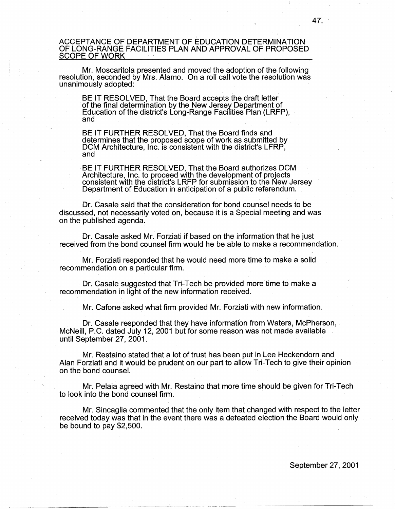# ACCEPTANCE OF DEPARTMENT OF EDUCATION DETERMINATION OF LONG-RANGE FACILITIES PLAN AND APPROVAL OF PROPOSED SCOPE OF WORK

Mr. Moscaritola presented and moved the adoption of the following resolution, seconded by Mrs. Alamo. On a roll call vote the resolution was unanimously adopted:

BE IT RESOLVED, That the Board accepts the draft letter of the final determination by the New Jersey Department of Education of the district's Long-Range Facilities Plan (LRFP), and

BE IT FURTHER RESOLVED, That the Board finds and determines that the proposed scope of work as submitted by DCM Architecture, Inc. is consistent with the district's LFRP,<br>and and  $\overline{\phantom{a}}$  and  $\overline{\phantom{a}}$  and  $\overline{\phantom{a}}$  and  $\overline{\phantom{a}}$  and  $\overline{\phantom{a}}$ 

BE IT FURTHER RESOLVED, That the Board authorizes DCM Architecture, Inc. to proceed with the development of projects consistent with the district's LRFP for submission to the New Jersey Department of Education in anticipation of a public referendum.

Dr. Casale said that the consideration for bond counsel needs to be discussed, not necessarily voted on, because it is a Special meeting and was on the published agenda.

Dr. Casale asked Mr. Forziati if based on the information that he just received from the bond counsel firm would he be able to make a recommendation.

Mr. Forziati responded that he would need more time to make a solid recommendation on a particular firm.

Dr. Casale suggested that Tri-Tech be provided more time to make a recommendation in light of the new information received.

Mr. Cafone asked what firm provided Mr. Forziatiwith new information.

. Dr. Casale responded that they have information from Waters, McPherson, McNeil!, P.C. dated July 12, 2001 but for some reason was not made available until September 27, 2001.

Mr. Restaino stated that a lot of trust has been put in Lee Heckendorn and Alan Forziati and it would be prudent on our part to allow Tri-Tech to give their opinion on the bond counsel.

Mr. Pelaia agreed with Mr. Restaino that more time should be given for Tri-Tech to look into the bond counsel firm.

Mr. Sincaglia commented that the only item that changed with respect to the letter received today was that in the event there was a defeated election the Board would only be bound to pay \$2,500.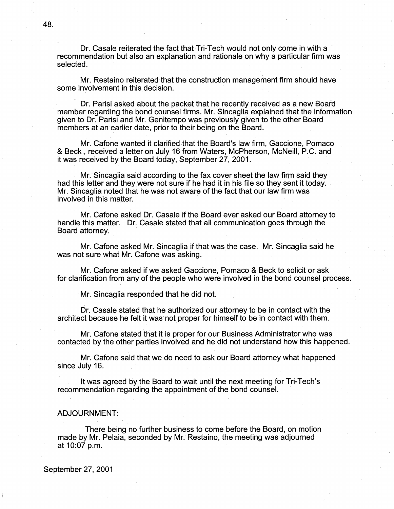Dr. Casale reiterated the fact that Tri-Tech would not only come in with a recommendation but also an explanation and rationale on why a particular firm was selected.

Mr. Restaino reiterated that the construction management firm should have some involvement in this decision.

Dr. Parisi asked about the packet that he recently received as a new Board member regarding the bond counsel firms. Mr. Sincaglia explained that the information given to Dr. Parisi and Mr. Genitempo was previously given to the other Board members at an earlier date, prior to their being on the Board.

Mr. Catone wanted it clarified that the Board's law firm, Gaccione, Pomaco & Beck, received a letter on July 16 from Waters, McPherson, McNeil!, P.C. and it was received by the Board today, September 27, 2001.

Mr. Sincaglia said according to the fax cover sheet the law firm said they had this letter and they were not sure if he had it in his file so they sent it today. Mr. Sincaglia noted that he was not aware of the fact that our law firm was involved in this matter.

Mr. Catone asked Dr. Casale if the Board ever asked our Board attorney to handle this matter. Dr. Casale stated that all communication goes through the Board attorney.

Mr. Catone asked Mr. Sincaglia if that was the case. Mr. Sincaglia said he was not sure what Mr. Catone was asking.

Mr. Catone asked if we asked Gaccione, Pomaco & Beck to solicit or ask for clarification from any of the people who were involved in the bond counsel process.

Mr. Sincaglia responded that he did not.

Dr. Casale stated that he authorized our attorney to be in contact with the architect because he felt it was not proper for himself to be in contact with them.

Mr. Catone stated that it is proper for our Business Administrator who was contacted by the other parties involved and he did not understand how this happened.

Mr. Catone said that we do need to ask our Board attorney what happened since July 16.

It was agreed by the Board to wait until the next meeting for Tri-Tech's recommendation regarding the appointment of the bond counsel.

# ADJOURNMENT:

There being no further business to come before the Board, on motion made by Mr. Pelaia, seconded by Mr. Restaino, the meeting was adjourned at 10:07 p.m.

September 27, 2001